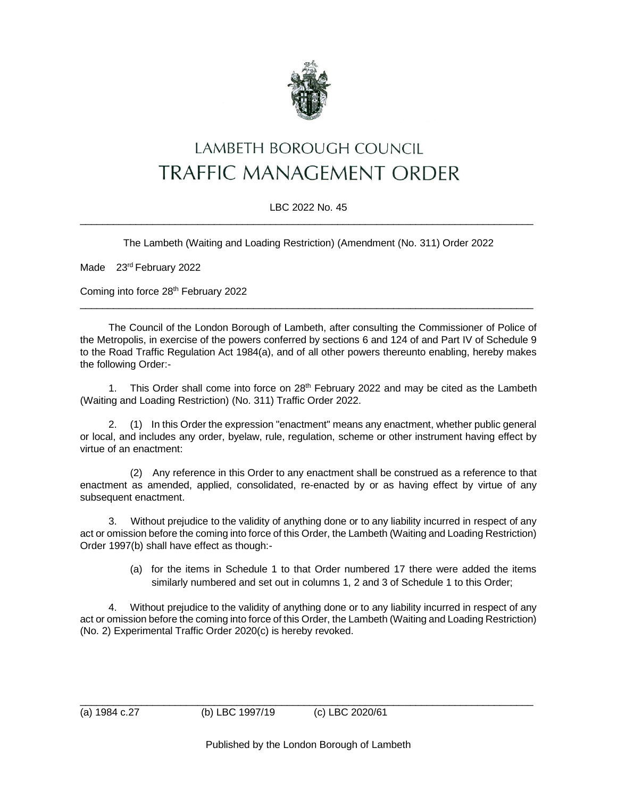

## LAMBETH BOROUGH COUNCIL **TRAFFIC MANAGEMENT ORDER**

## LBC 2022 No. 45  $\_$  , and the set of the set of the set of the set of the set of the set of the set of the set of the set of the set of the set of the set of the set of the set of the set of the set of the set of the set of the set of th

The Lambeth (Waiting and Loading Restriction) (Amendment (No. 311) Order 2022

Made 23<sup>rd</sup> February 2022

Coming into force 28<sup>th</sup> February 2022

The Council of the London Borough of Lambeth, after consulting the Commissioner of Police of the Metropolis, in exercise of the powers conferred by sections 6 and 124 of and Part IV of Schedule 9 to the Road Traffic Regulation Act 1984(a), and of all other powers thereunto enabling, hereby makes the following Order:-

 $\_$  , and the set of the set of the set of the set of the set of the set of the set of the set of the set of the set of the set of the set of the set of the set of the set of the set of the set of the set of the set of th

1. This Order shall come into force on  $28<sup>th</sup>$  February 2022 and may be cited as the Lambeth (Waiting and Loading Restriction) (No. 311) Traffic Order 2022.

2. (1) In this Order the expression "enactment" means any enactment, whether public general or local, and includes any order, byelaw, rule, regulation, scheme or other instrument having effect by virtue of an enactment:

(2) Any reference in this Order to any enactment shall be construed as a reference to that enactment as amended, applied, consolidated, re-enacted by or as having effect by virtue of any subsequent enactment.

3. Without prejudice to the validity of anything done or to any liability incurred in respect of any act or omission before the coming into force of this Order, the Lambeth (Waiting and Loading Restriction) Order 1997(b) shall have effect as though:-

> (a) for the items in Schedule 1 to that Order numbered 17 there were added the items similarly numbered and set out in columns 1, 2 and 3 of Schedule 1 to this Order;

4. Without prejudice to the validity of anything done or to any liability incurred in respect of any act or omission before the coming into force of this Order, the Lambeth (Waiting and Loading Restriction) (No. 2) Experimental Traffic Order 2020(c) is hereby revoked.

\_\_\_\_\_\_\_\_\_\_\_\_\_\_\_\_\_\_\_\_\_\_\_\_\_\_\_\_\_\_\_\_\_\_\_\_\_\_\_\_\_\_\_\_\_\_\_\_\_\_\_\_\_\_\_\_\_\_\_\_\_\_\_\_\_\_\_\_\_\_\_\_\_\_\_\_\_\_\_\_\_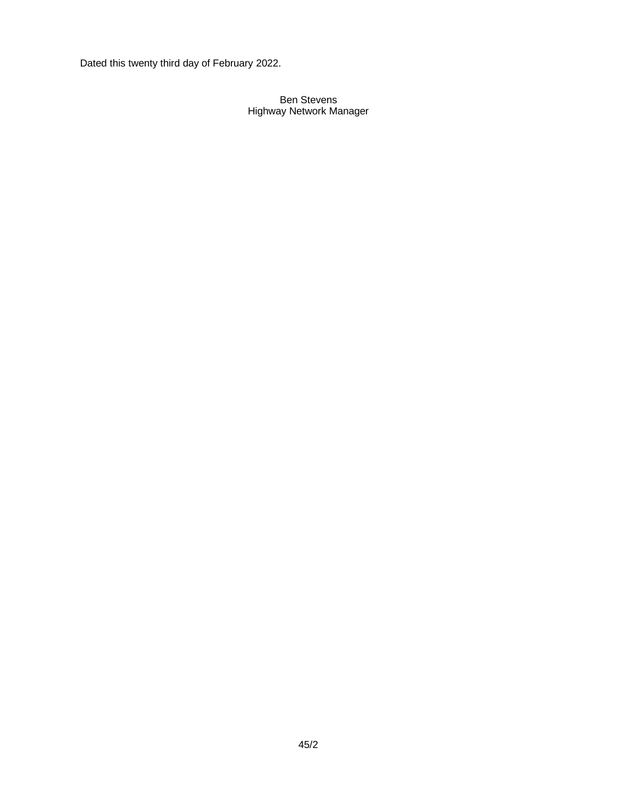Dated this twenty third day of February 2022.

## Ben Stevens Highway Network Manager